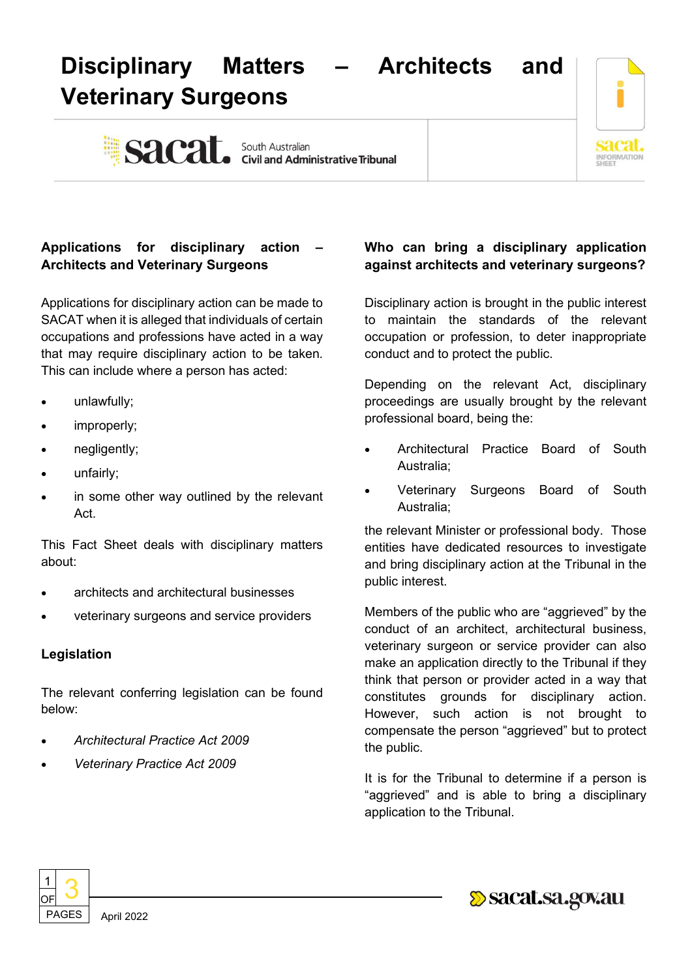# **Disciplinary Matters – Architects and Veterinary Surgeons**

Sacat. South Australian Sacarity e Tribunal



## **Applications for disciplinary action – Architects and Veterinary Surgeons**

Applications for disciplinary action can be made to SACAT when it is alleged that individuals of certain occupations and professions have acted in a way that may require disciplinary action to be taken. This can include where a person has acted:

- unlawfully;
- improperly;
- negligently;
- unfairly;
- in some other way outlined by the relevant Act.

This Fact Sheet deals with disciplinary matters about:

- architects and architectural businesses
- veterinary surgeons and service providers

#### **Legislation**

The relevant conferring legislation can be found below:

- *Architectural Practice Act 2009*
- *Veterinary Practice Act 2009*

### **Who can bring a disciplinary application against architects and veterinary surgeons?**

Disciplinary action is brought in the public interest to maintain the standards of the relevant occupation or profession, to deter inappropriate conduct and to protect the public.

Depending on the relevant Act, disciplinary proceedings are usually brought by the relevant professional board, being the:

- Architectural Practice Board of South Australia;
- Veterinary Surgeons Board of South Australia;

the relevant Minister or professional body. Those entities have dedicated resources to investigate and bring disciplinary action at the Tribunal in the public interest.

Members of the public who are "aggrieved" by the conduct of an architect, architectural business, veterinary surgeon or service provider can also make an application directly to the Tribunal if they think that person or provider acted in a way that constitutes grounds for disciplinary action. However, such action is not brought to compensate the person "aggrieved" but to protect the public.

It is for the Tribunal to determine if a person is "aggrieved" and is able to bring a disciplinary application to the Tribunal.



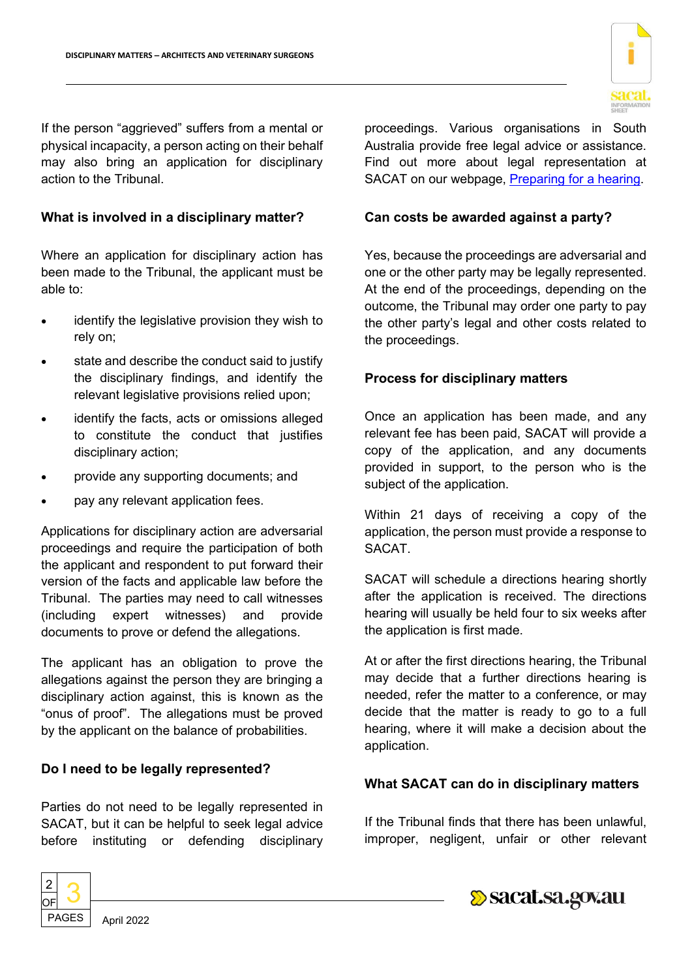

If the person "aggrieved" suffers from a mental or physical incapacity, a person acting on their behalf may also bring an application for disciplinary action to the Tribunal.

#### **What is involved in a disciplinary matter?**

Where an application for disciplinary action has been made to the Tribunal, the applicant must be able to:

- identify the legislative provision they wish to rely on;
- state and describe the conduct said to justify the disciplinary findings, and identify the relevant legislative provisions relied upon;
- identify the facts, acts or omissions alleged to constitute the conduct that justifies disciplinary action;
- provide any supporting documents; and
- pay any relevant application fees.

Applications for disciplinary action are adversarial proceedings and require the participation of both the applicant and respondent to put forward their version of the facts and applicable law before the Tribunal. The parties may need to call witnesses (including expert witnesses) and provide documents to prove or defend the allegations.

The applicant has an obligation to prove the allegations against the person they are bringing a disciplinary action against, this is known as the "onus of proof". The allegations must be proved by the applicant on the balance of probabilities.

#### **Do I need to be legally represented?**

Parties do not need to be legally represented in SACAT, but it can be helpful to seek legal advice before instituting or defending disciplinary



#### **Can costs be awarded against a party?**

Yes, because the proceedings are adversarial and one or the other party may be legally represented. At the end of the proceedings, depending on the outcome, the Tribunal may order one party to pay the other party's legal and other costs related to the proceedings.

#### **Process for disciplinary matters**

Once an application has been made, and any relevant fee has been paid, SACAT will provide a copy of the application, and any documents provided in support, to the person who is the subject of the application.

Within 21 days of receiving a copy of the application, the person must provide a response to SACAT.

SACAT will schedule a directions hearing shortly after the application is received. The directions hearing will usually be held four to six weeks after the application is first made.

At or after the first directions hearing, the Tribunal may decide that a further directions hearing is needed, refer the matter to a conference, or may decide that the matter is ready to go to a full hearing, where it will make a decision about the application.

#### **What SACAT can do in disciplinary matters**

If the Tribunal finds that there has been unlawful, improper, negligent, unfair or other relevant